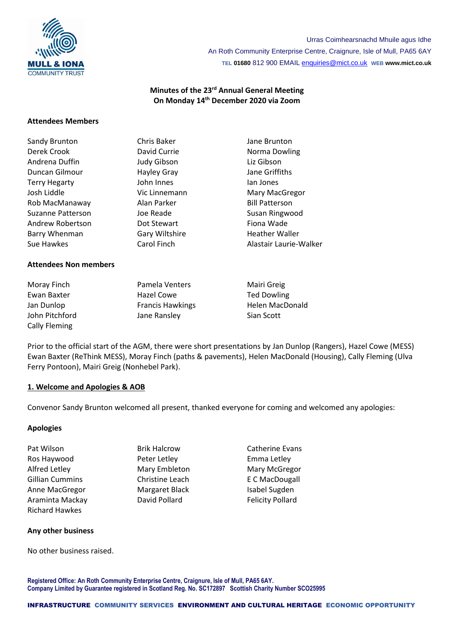

Urras Coimhearsnachd Mhuile agus Idhe An Roth Community Enterprise Centre, Craignure, Isle of Mull, PA65 6AY **TEL 01680** 812 900 EMAIL [enquiries@mict.co.uk](mailto:enquiries@mict.co.uk) **WEB www.mict.co.uk**

## **Minutes of the 23 rd Annual General Meeting On Monday 14 th December 2020 via Zoom**

#### **Attendees Members**

| Sandy Brunton        | Chris Baker        | Jane Brunton           |
|----------------------|--------------------|------------------------|
| Derek Crook          | David Currie       | Norma Dowling          |
| Andrena Duffin       | <b>Judy Gibson</b> | Liz Gibson             |
| Duncan Gilmour       | <b>Hayley Gray</b> | Jane Griffiths         |
| <b>Terry Hegarty</b> | John Innes         | lan Jones              |
| Josh Liddle          | Vic Linnemann      | Mary MacGregor         |
| Rob MacManaway       | Alan Parker        | <b>Bill Patterson</b>  |
| Suzanne Patterson    | Joe Reade          | Susan Ringwood         |
| Andrew Robertson     | Dot Stewart        | Fiona Wade             |
| Barry Whenman        | Gary Wiltshire     | <b>Heather Waller</b>  |
| Sue Hawkes           | Carol Finch        | Alastair Laurie-Walker |
|                      |                    |                        |

### **Attendees Non members**

| Moray Finch          |  |  |
|----------------------|--|--|
| Ewan Baxter          |  |  |
| Jan Dunlop           |  |  |
| John Pitchford       |  |  |
| <b>Cally Fleming</b> |  |  |

Moray Finch Pamela Venters Mairi Greig Hazel Cowe Ted Dowling Francis Hawkings Helen MacDonald Jane Ransley Sian Scott

Prior to the official start of the AGM, there were short presentations by Jan Dunlop (Rangers), Hazel Cowe (MESS) Ewan Baxter (ReThink MESS), Moray Finch (paths & pavements), Helen MacDonald (Housing), Cally Fleming (Ulva Ferry Pontoon), Mairi Greig (Nonhebel Park).

#### **1. Welcome and Apologies & AOB**

Convenor Sandy Brunton welcomed all present, thanked everyone for coming and welcomed any apologies:

#### **Apologies**

Pat Wilson **Brik Halcrow** Brik Halcrow **Catherine Evans** Ros Haywood **Peter Letley Peter Letley Emma Letley** Alfred Letley **Mary Embleton** Mary Mary Mary McGregor Gillian Cummins **Christine Leach** E C MacDougall Anne MacGregor **Margaret Black** Isabel Sugden Araminta Mackay **David Pollard Constructs** Felicity Pollard Richard Hawkes

#### **Any other business**

No other business raised.

**Registered Office: An Roth Community Enterprise Centre, Craignure, Isle of Mull, PA65 6AY. Company Limited by Guarantee registered in Scotland Reg. No. SC172897 Scottish Charity Number SCO25995**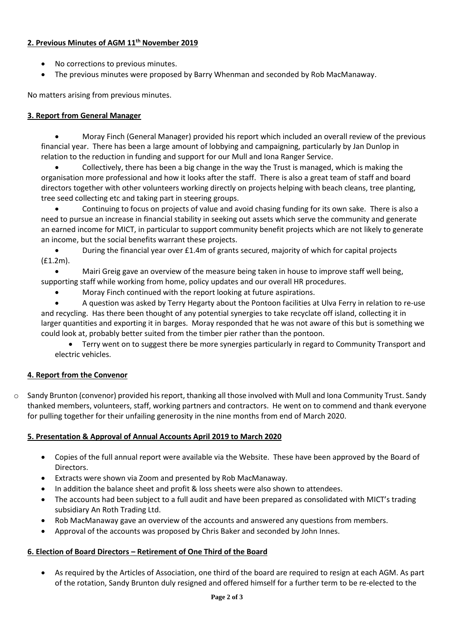# **2. Previous Minutes of AGM 11 th November 2019**

- No corrections to previous minutes.
- The previous minutes were proposed by Barry Whenman and seconded by Rob MacManaway.

No matters arising from previous minutes.

## **3. Report from General Manager**

• Moray Finch (General Manager) provided his report which included an overall review of the previous financial year. There has been a large amount of lobbying and campaigning, particularly by Jan Dunlop in relation to the reduction in funding and support for our Mull and Iona Ranger Service.

• Collectively, there has been a big change in the way the Trust is managed, which is making the organisation more professional and how it looks after the staff. There is also a great team of staff and board directors together with other volunteers working directly on projects helping with beach cleans, tree planting, tree seed collecting etc and taking part in steering groups.

• Continuing to focus on projects of value and avoid chasing funding for its own sake. There is also a need to pursue an increase in financial stability in seeking out assets which serve the community and generate an earned income for MICT, in particular to support community benefit projects which are not likely to generate an income, but the social benefits warrant these projects.

• During the financial year over £1.4m of grants secured, majority of which for capital projects (£1.2m).

• Mairi Greig gave an overview of the measure being taken in house to improve staff well being, supporting staff while working from home, policy updates and our overall HR procedures.

• Moray Finch continued with the report looking at future aspirations.

• A question was asked by Terry Hegarty about the Pontoon facilities at Ulva Ferry in relation to re-use and recycling. Has there been thought of any potential synergies to take recyclate off island, collecting it in larger quantities and exporting it in barges. Moray responded that he was not aware of this but is something we could look at, probably better suited from the timber pier rather than the pontoon.

• Terry went on to suggest there be more synergies particularly in regard to Community Transport and electric vehicles.

# **4. Report from the Convenor**

o Sandy Brunton (convenor) provided his report, thanking all those involved with Mull and Iona Community Trust. Sandy thanked members, volunteers, staff, working partners and contractors. He went on to commend and thank everyone for pulling together for their unfailing generosity in the nine months from end of March 2020.

## **5. Presentation & Approval of Annual Accounts April 2019 to March 2020**

- Copies of the full annual report were available via the Website. These have been approved by the Board of Directors.
- Extracts were shown via Zoom and presented by Rob MacManaway.
- In addition the balance sheet and profit & loss sheets were also shown to attendees.
- The accounts had been subject to a full audit and have been prepared as consolidated with MICT's trading subsidiary An Roth Trading Ltd.
- Rob MacManaway gave an overview of the accounts and answered any questions from members.
- Approval of the accounts was proposed by Chris Baker and seconded by John Innes.

# **6. Election of Board Directors – Retirement of One Third of the Board**

• As required by the Articles of Association, one third of the board are required to resign at each AGM. As part of the rotation, Sandy Brunton duly resigned and offered himself for a further term to be re-elected to the